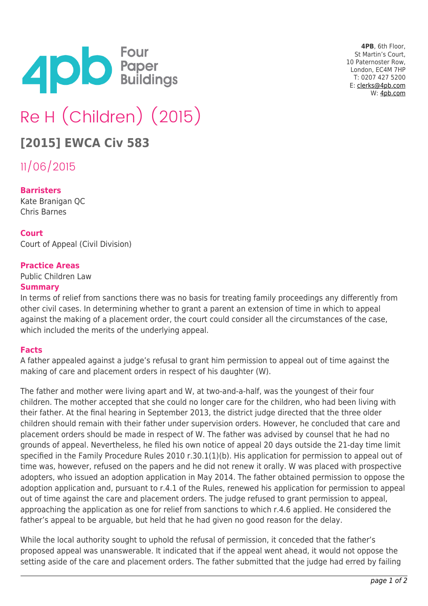

**4PB**, 6th Floor, St Martin's Court, 10 Paternoster Row, London, EC4M 7HP T: 0207 427 5200 E: [clerks@4pb.com](mailto:clerks@4pb.com) W: [4pb.com](http://4pb.com)

# Re H (Children) (2015)

# **[2015] EWCA Civ 583**

11/06/2015

#### **Barristers**

Kate Branigan QC Chris Barnes

#### **Court**

Court of Appeal (Civil Division)

#### **Practice Areas**

Public Children Law

#### **Summary**

In terms of relief from sanctions there was no basis for treating family proceedings any differently from other civil cases. In determining whether to grant a parent an extension of time in which to appeal against the making of a placement order, the court could consider all the circumstances of the case, which included the merits of the underlying appeal.

### **Facts**

A father appealed against a judge's refusal to grant him permission to appeal out of time against the making of care and placement orders in respect of his daughter (W).

The father and mother were living apart and W, at two-and-a-half, was the youngest of their four children. The mother accepted that she could no longer care for the children, who had been living with their father. At the final hearing in September 2013, the district judge directed that the three older children should remain with their father under supervision orders. However, he concluded that care and placement orders should be made in respect of W. The father was advised by counsel that he had no grounds of appeal. Nevertheless, he filed his own notice of appeal 20 days outside the 21-day time limit specified in the Family Procedure Rules 2010 r.30.1(1)(b). His application for permission to appeal out of time was, however, refused on the papers and he did not renew it orally. W was placed with prospective adopters, who issued an adoption application in May 2014. The father obtained permission to oppose the adoption application and, pursuant to r.4.1 of the Rules, renewed his application for permission to appeal out of time against the care and placement orders. The judge refused to grant permission to appeal, approaching the application as one for relief from sanctions to which r.4.6 applied. He considered the father's appeal to be arguable, but held that he had given no good reason for the delay.

While the local authority sought to uphold the refusal of permission, it conceded that the father's proposed appeal was unanswerable. It indicated that if the appeal went ahead, it would not oppose the setting aside of the care and placement orders. The father submitted that the judge had erred by failing